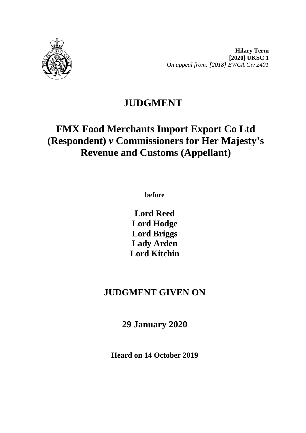

# **JUDGMENT**

## **FMX Food Merchants Import Export Co Ltd (Respondent)** *v* **Commissioners for Her Majesty's Revenue and Customs (Appellant)**

**before** 

**Lord Reed Lord Hodge Lord Briggs Lady Arden Lord Kitchin**

### **JUDGMENT GIVEN ON**

**29 January 2020**

**Heard on 14 October 2019**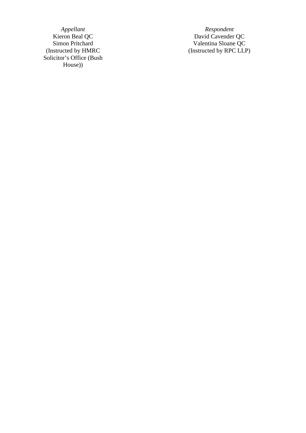*Appellant Respondent*<br>Kieron Beal QC *David Cavender* (Instructed by HMRC Solicitor's Office (Bush House) )

Kieron Beal QC David Cavender QC Simon Pritchard Valentina Sloane QC (Instructed by RPC LLP )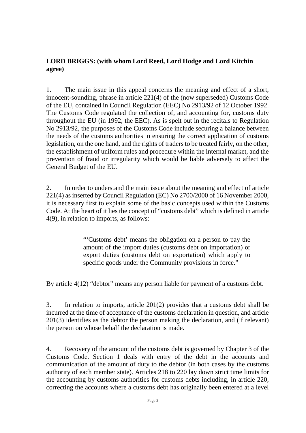#### **LORD BRIGGS: (with whom Lord Reed, Lord Hodge and Lord Kitchin agree)**

1. The main issue in this appeal concerns the meaning and effect of a short, innocent-sounding, phrase in article 221(4) of the (now superseded) Customs Code of the EU, contained in Council Regulation (EEC) No 2913/92 of 12 October 1992. The Customs Code regulated the collection of, and accounting for, customs duty throughout the EU (in 1992, the EEC). As is spelt out in the recitals to Regulation No 2913/92, the purposes of the Customs Code include securing a balance between the needs of the customs authorities in ensuring the correct application of customs legislation, on the one hand, and the rights of traders to be treated fairly, on the other, the establishment of uniform rules and procedure within the internal market, and the prevention of fraud or irregularity which would be liable adversely to affect the General Budget of the EU.

2. In order to understand the main issue about the meaning and effect of article 221(4) as inserted by Council Regulation (EC) No 2700/2000 of 16 November 2000, it is necessary first to explain some of the basic concepts used within the Customs Code. At the heart of it lies the concept of "customs debt" which is defined in article 4(9), in relation to imports, as follows:

> "'Customs debt' means the obligation on a person to pay the amount of the import duties (customs debt on importation) or export duties (customs debt on exportation) which apply to specific goods under the Community provisions in force."

By article 4(12) "debtor" means any person liable for payment of a customs debt.

3. In relation to imports, article 201(2) provides that a customs debt shall be incurred at the time of acceptance of the customs declaration in question, and article 201(3) identifies as the debtor the person making the declaration, and (if relevant) the person on whose behalf the declaration is made.

4. Recovery of the amount of the customs debt is governed by Chapter 3 of the Customs Code. Section 1 deals with entry of the debt in the accounts and communication of the amount of duty to the debtor (in both cases by the customs authority of each member state). Articles 218 to 220 lay down strict time limits for the accounting by customs authorities for customs debts including, in article 220, correcting the accounts where a customs debt has originally been entered at a level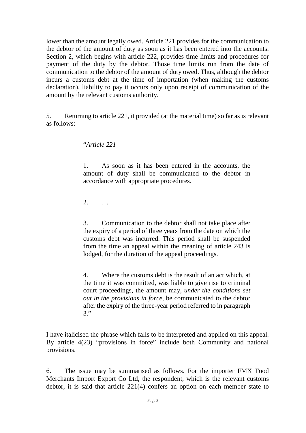lower than the amount legally owed. Article 221 provides for the communication to the debtor of the amount of duty as soon as it has been entered into the accounts. Section 2, which begins with article 222, provides time limits and procedures for payment of the duty by the debtor. Those time limits run from the date of communication to the debtor of the amount of duty owed. Thus, although the debtor incurs a customs debt at the time of importation (when making the customs declaration), liability to pay it occurs only upon receipt of communication of the amount by the relevant customs authority.

5. Returning to article 221, it provided (at the material time) so far as is relevant as follows:

"*Article 221*

1. As soon as it has been entered in the accounts, the amount of duty shall be communicated to the debtor in accordance with appropriate procedures.

2. …

3. Communication to the debtor shall not take place after the expiry of a period of three years from the date on which the customs debt was incurred. This period shall be suspended from the time an appeal within the meaning of article 243 is lodged, for the duration of the appeal proceedings.

4. Where the customs debt is the result of an act which, at the time it was committed, was liable to give rise to criminal court proceedings, the amount may, *under the conditions set out in the provisions in force*, be communicated to the debtor after the expiry of the three-year period referred to in paragraph 3."

I have italicised the phrase which falls to be interpreted and applied on this appeal. By article 4(23) "provisions in force" include both Community and national provisions.

6. The issue may be summarised as follows. For the importer FMX Food Merchants Import Export Co Ltd, the respondent, which is the relevant customs debtor, it is said that article 221(4) confers an option on each member state to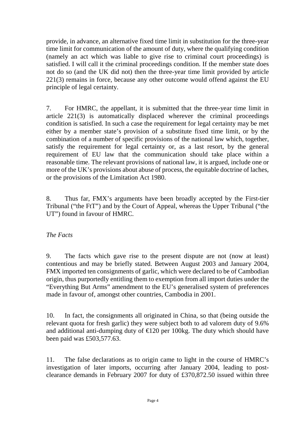provide, in advance, an alternative fixed time limit in substitution for the three-year time limit for communication of the amount of duty, where the qualifying condition (namely an act which was liable to give rise to criminal court proceedings) is satisfied. I will call it the criminal proceedings condition. If the member state does not do so (and the UK did not) then the three-year time limit provided by article 221(3) remains in force, because any other outcome would offend against the EU principle of legal certainty.

7. For HMRC, the appellant, it is submitted that the three-year time limit in article 221(3) is automatically displaced wherever the criminal proceedings condition is satisfied. In such a case the requirement for legal certainty may be met either by a member state's provision of a substitute fixed time limit, or by the combination of a number of specific provisions of the national law which, together, satisfy the requirement for legal certainty or, as a last resort, by the general requirement of EU law that the communication should take place within a reasonable time. The relevant provisions of national law, it is argued, include one or more of the UK's provisions about abuse of process, the equitable doctrine of laches, or the provisions of the Limitation Act 1980.

8. Thus far, FMX's arguments have been broadly accepted by the First-tier Tribunal ("the FtT") and by the Court of Appeal, whereas the Upper Tribunal ("the UT") found in favour of HMRC.

#### *The Facts*

9. The facts which gave rise to the present dispute are not (now at least) contentious and may be briefly stated. Between August 2003 and January 2004, FMX imported ten consignments of garlic, which were declared to be of Cambodian origin, thus purportedly entitling them to exemption from all import duties under the "Everything But Arms" amendment to the EU's generalised system of preferences made in favour of, amongst other countries, Cambodia in 2001.

10. In fact, the consignments all originated in China, so that (being outside the relevant quota for fresh garlic) they were subject both to ad valorem duty of 9.6% and additional anti-dumping duty of  $\in$  120 per 100kg. The duty which should have been paid was £503,577.63.

11. The false declarations as to origin came to light in the course of HMRC's investigation of later imports, occurring after January 2004, leading to postclearance demands in February 2007 for duty of £370,872.50 issued within three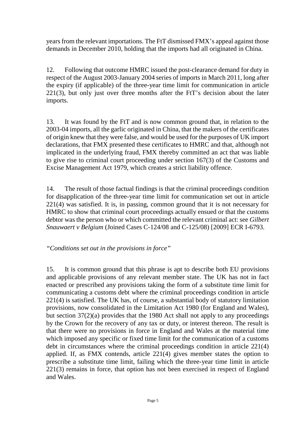years from the relevant importations. The FtT dismissed FMX's appeal against those demands in December 2010, holding that the imports had all originated in China.

12. Following that outcome HMRC issued the post-clearance demand for duty in respect of the August 2003-January 2004 series of imports in March 2011, long after the expiry (if applicable) of the three-year time limit for communication in article 221(3), but only just over three months after the FtT's decision about the later imports.

13. It was found by the FtT and is now common ground that, in relation to the 2003-04 imports, all the garlic originated in China, that the makers of the certificates of origin knew that they were false, and would be used for the purposes of UK import declarations, that FMX presented these certificates to HMRC and that, although not implicated in the underlying fraud, FMX thereby committed an act that was liable to give rise to criminal court proceeding under section 167(3) of the Customs and Excise Management Act 1979, which creates a strict liability offence.

14. The result of those factual findings is that the criminal proceedings condition for disapplication of the three-year time limit for communication set out in article 221(4) was satisfied. It is, in passing, common ground that it is not necessary for HMRC to show that criminal court proceedings actually ensued or that the customs debtor was the person who or which committed the relevant criminal act: see *Gilbert Snauwaert v Belgium* (Joined Cases C-124/08 and C-125/08) [2009] ECR I-6793.

*"Conditions set out in the provisions in force"*

15. It is common ground that this phrase is apt to describe both EU provisions and applicable provisions of any relevant member state. The UK has not in fact enacted or prescribed any provisions taking the form of a substitute time limit for communicating a customs debt where the criminal proceedings condition in article 221(4) is satisfied. The UK has, of course, a substantial body of statutory limitation provisions, now consolidated in the Limitation Act 1980 (for England and Wales), but section 37(2)(a) provides that the 1980 Act shall not apply to any proceedings by the Crown for the recovery of any tax or duty, or interest thereon. The result is that there were no provisions in force in England and Wales at the material time which imposed any specific or fixed time limit for the communication of a customs debt in circumstances where the criminal proceedings condition in article 221(4) applied. If, as FMX contends, article 221(4) gives member states the option to prescribe a substitute time limit, failing which the three-year time limit in article 221(3) remains in force, that option has not been exercised in respect of England and Wales.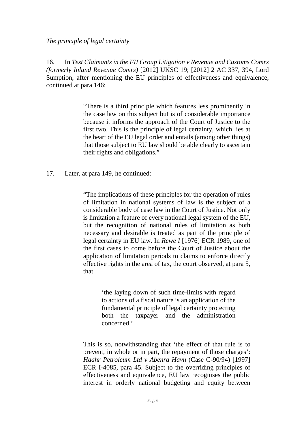*The principle of legal certainty*

16. In *Test Claimants in the FII Group Litigation v Revenue and Customs Comrs (formerly Inland Revenue Comrs)* [2012] UKSC 19; [2012] 2 AC 337, 394, Lord Sumption, after mentioning the EU principles of effectiveness and equivalence, continued at para 146:

> "There is a third principle which features less prominently in the case law on this subject but is of considerable importance because it informs the approach of the Court of Justice to the first two. This is the principle of legal certainty, which lies at the heart of the EU legal order and entails (among other things) that those subject to EU law should be able clearly to ascertain their rights and obligations."

17. Later, at para 149, he continued:

"The implications of these principles for the operation of rules of limitation in national systems of law is the subject of a considerable body of case law in the Court of Justice. Not only is limitation a feature of every national legal system of the EU, but the recognition of national rules of limitation as both necessary and desirable is treated as part of the principle of legal certainty in EU law. In *Rewe I* [1976] ECR 1989, one of the first cases to come before the Court of Justice about the application of limitation periods to claims to enforce directly effective rights in the area of tax, the court observed, at para 5, that

> 'the laying down of such time-limits with regard to actions of a fiscal nature is an application of the fundamental principle of legal certainty protecting both the taxpayer and the administration concerned.'

This is so, notwithstanding that 'the effect of that rule is to prevent, in whole or in part, the repayment of those charges': *Haahr Petroleum Ltd v Abenra Havn* (Case C-90/94) [1997] ECR I-4085, para 45. Subject to the overriding principles of effectiveness and equivalence, EU law recognises the public interest in orderly national budgeting and equity between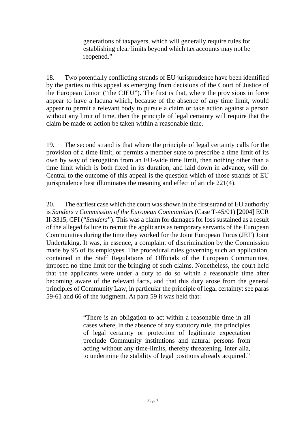generations of taxpayers, which will generally require rules for establishing clear limits beyond which tax accounts may not be reopened."

18. Two potentially conflicting strands of EU jurisprudence have been identified by the parties to this appeal as emerging from decisions of the Court of Justice of the European Union ("the CJEU"). The first is that, where the provisions in force appear to have a lacuna which, because of the absence of any time limit, would appear to permit a relevant body to pursue a claim or take action against a person without any limit of time, then the principle of legal certainty will require that the claim be made or action be taken within a reasonable time.

19. The second strand is that where the principle of legal certainty calls for the provision of a time limit, or permits a member state to prescribe a time limit of its own by way of derogation from an EU-wide time limit, then nothing other than a time limit which is both fixed in its duration, and laid down in advance, will do. Central to the outcome of this appeal is the question which of those strands of EU jurisprudence best illuminates the meaning and effect of article 221(4).

20. The earliest case which the court was shown in the first strand of EU authority is *Sanders v Commission of the European Communities* (Case T-45/01) [2004] ECR II-3315, CFI ("*Sanders*"). This was a claim for damages for loss sustained as a result of the alleged failure to recruit the applicants as temporary servants of the European Communities during the time they worked for the Joint European Torus (JET) Joint Undertaking. It was, in essence, a complaint of discrimination by the Commission made by 95 of its employees. The procedural rules governing such an application, contained in the Staff Regulations of Officials of the European Communities, imposed no time limit for the bringing of such claims. Nonetheless, the court held that the applicants were under a duty to do so within a reasonable time after becoming aware of the relevant facts, and that this duty arose from the general principles of Community Law, in particular the principle of legal certainty: see paras 59-61 and 66 of the judgment. At para 59 it was held that:

> "There is an obligation to act within a reasonable time in all cases where, in the absence of any statutory rule, the principles of legal certainty or protection of legitimate expectation preclude Community institutions and natural persons from acting without any time-limits, thereby threatening, inter alia, to undermine the stability of legal positions already acquired."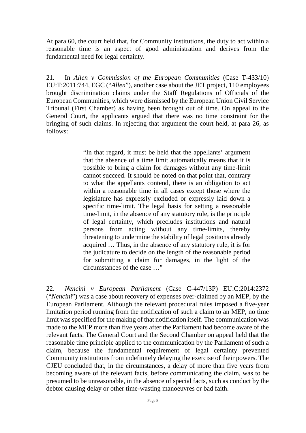At para 60, the court held that, for Community institutions, the duty to act within a reasonable time is an aspect of good administration and derives from the fundamental need for legal certainty.

21. In *Allen v Commission of the European Communities* (Case T-433/10) EU:T:2011:744, EGC ("*Allen*"), another case about the JET project, 110 employees brought discrimination claims under the Staff Regulations of Officials of the European Communities, which were dismissed by the European Union Civil Service Tribunal (First Chamber) as having been brought out of time. On appeal to the General Court, the applicants argued that there was no time constraint for the bringing of such claims. In rejecting that argument the court held, at para 26, as follows:

> "In that regard, it must be held that the appellants' argument that the absence of a time limit automatically means that it is possible to bring a claim for damages without any time-limit cannot succeed. It should be noted on that point that, contrary to what the appellants contend, there is an obligation to act within a reasonable time in all cases except those where the legislature has expressly excluded or expressly laid down a specific time-limit. The legal basis for setting a reasonable time-limit, in the absence of any statutory rule, is the principle of legal certainty, which precludes institutions and natural persons from acting without any time-limits, thereby threatening to undermine the stability of legal positions already acquired … Thus, in the absence of any statutory rule, it is for the judicature to decide on the length of the reasonable period for submitting a claim for damages, in the light of the circumstances of the case …"

22. *Nencini v European Parliament* (Case C-447/13P) EU:C:2014:2372 ("*Nencini*") was a case about recovery of expenses over-claimed by an MEP, by the European Parliament. Although the relevant procedural rules imposed a five-year limitation period running from the notification of such a claim to an MEP, no time limit was specified for the making of that notification itself. The communication was made to the MEP more than five years after the Parliament had become aware of the relevant facts. The General Court and the Second Chamber on appeal held that the reasonable time principle applied to the communication by the Parliament of such a claim, because the fundamental requirement of legal certainty prevented Community institutions from indefinitely delaying the exercise of their powers. The CJEU concluded that, in the circumstances, a delay of more than five years from becoming aware of the relevant facts, before communicating the claim, was to be presumed to be unreasonable, in the absence of special facts, such as conduct by the debtor causing delay or other time-wasting manoeuvres or bad faith.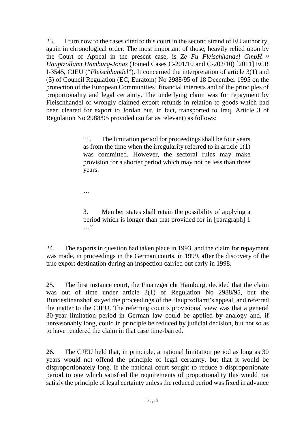23. I turn now to the cases cited to this court in the second strand of EU authority, again in chronological order. The most important of those, heavily relied upon by the Court of Appeal in the present case, is *Ze Fu Fleischhandel GmbH v Hauptzollamt Hamburg-Jonas* (Joined Cases C-201/10 and C-202/10) [2011] ECR I-3545, CJEU ("*Fleischhandel*"). It concerned the interpretation of article 3(1) and (3) of Council Regulation (EC, Euratom) No 2988/95 of 18 December 1995 on the protection of the European Communities' financial interests and of the principles of proportionality and legal certainty. The underlying claim was for repayment by Fleischhandel of wrongly claimed export refunds in relation to goods which had been cleared for export to Jordan but, in fact, transported to Iraq. Article 3 of Regulation No 2988/95 provided (so far as relevant) as follows:

> "1. The limitation period for proceedings shall be four years as from the time when the irregularity referred to in article  $1(1)$ was committed. However, the sectoral rules may make provision for a shorter period which may not be less than three years.

…

3. Member states shall retain the possibility of applying a period which is longer than that provided for in [paragraph] 1 …"

24. The exports in question had taken place in 1993, and the claim for repayment was made, in proceedings in the German courts, in 1999, after the discovery of the true export destination during an inspection carried out early in 1998.

25. The first instance court, the Finanzgericht Hamburg, decided that the claim was out of time under article 3(1) of Regulation No 2988/95, but the Bundesfinanzhof stayed the proceedings of the Hauptzollamt's appeal, and referred the matter to the CJEU. The referring court's provisional view was that a general 30-year limitation period in German law could be applied by analogy and, if unreasonably long, could in principle be reduced by judicial decision, but not so as to have rendered the claim in that case time-barred.

26. The CJEU held that, in principle, a national limitation period as long as 30 years would not offend the principle of legal certainty, but that it would be disproportionately long. If the national court sought to reduce a disproportionate period to one which satisfied the requirements of proportionality this would not satisfy the principle of legal certainty unless the reduced period was fixed in advance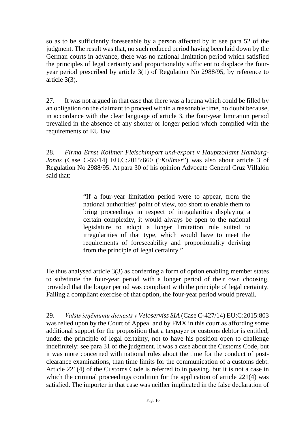so as to be sufficiently foreseeable by a person affected by it: see para 52 of the judgment. The result was that, no such reduced period having been laid down by the German courts in advance, there was no national limitation period which satisfied the principles of legal certainty and proportionality sufficient to displace the fouryear period prescribed by article 3(1) of Regulation No 2988/95, by reference to article 3(3).

27. It was not argued in that case that there was a lacuna which could be filled by an obligation on the claimant to proceed within a reasonable time, no doubt because, in accordance with the clear language of article 3, the four-year limitation period prevailed in the absence of any shorter or longer period which complied with the requirements of EU law.

28. *Firma Ernst Kollmer Fleischimport und-export v Hauptzollamt Hamburg-Jonas* (Case C-59/14) EU.C:2015:660 ("*Kollmer*") was also about article 3 of Regulation No 2988/95. At para 30 of his opinion Advocate General Cruz Villalón said that:

> "If a four-year limitation period were to appear, from the national authorities' point of view, too short to enable them to bring proceedings in respect of irregularities displaying a certain complexity, it would always be open to the national legislature to adopt a longer limitation rule suited to irregularities of that type, which would have to meet the requirements of foreseeability and proportionality deriving from the principle of legal certainty."

He thus analysed article 3(3) as conferring a form of option enabling member states to substitute the four-year period with a longer period of their own choosing, provided that the longer period was compliant with the principle of legal certainty. Failing a compliant exercise of that option, the four-year period would prevail.

29. *Valsts ieņēmumu dienests v Veloserviss SIA* (Case C-427/14) EU:C:2015:803 was relied upon by the Court of Appeal and by FMX in this court as affording some additional support for the proposition that a taxpayer or customs debtor is entitled, under the principle of legal certainty, not to have his position open to challenge indefinitely: see para 31 of the judgment. It was a case about the Customs Code, but it was more concerned with national rules about the time for the conduct of postclearance examinations, than time limits for the communication of a customs debt. Article 221(4) of the Customs Code is referred to in passing, but it is not a case in which the criminal proceedings condition for the application of article 221(4) was satisfied. The importer in that case was neither implicated in the false declaration of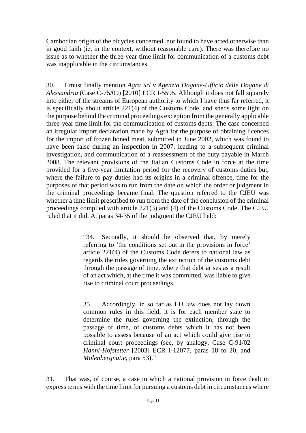Cambodian origin of the bicycles concerned, nor found to have acted otherwise than in good faith (ie, in the context, without reasonable care). There was therefore no issue as to whether the three-year time limit for communication of a customs debt was inapplicable in the circumstances.

30. I must finally mention *Agra Srl v Agenzia Dogane-Ufficio delle Dogane di Alessandria* (Case C-75/09) [2010] ECR I-5595. Although it does not fall squarely into either of the streams of European authority to which I have thus far referred, it is specifically about article 221(4) of the Customs Code, and sheds some light on the purpose behind the criminal proceedings exception from the generally applicable three-year time limit for the communication of customs debts. The case concerned an irregular import declaration made by Agra for the purpose of obtaining licences for the import of frozen boned meat, submitted in June 2002, which was found to have been false during an inspection in 2007, leading to a subsequent criminal investigation, and communication of a reassessment of the duty payable in March 2008. The relevant provisions of the Italian Customs Code in force at the time provided for a five-year limitation period for the recovery of customs duties but, where the failure to pay duties had its origins in a criminal offence, time for the purposes of that period was to run from the date on which the order or judgment in the criminal proceedings became final. The question referred to the CJEU was whether a time limit prescribed to run from the date of the conclusion of the criminal proceedings complied with article 221(3) and (4) of the Customs Code. The CJEU ruled that it did. At paras 34-35 of the judgment the CJEU held:

> "34. Secondly, it should be observed that, by merely referring to 'the conditions set out in the provisions in force' article 221(4) of the Customs Code defers to national law as regards the rules governing the extinction of the customs debt through the passage of time, where that debt arises as a result of an act which, at the time it was committed, was liable to give rise to criminal court proceedings.

> 35. Accordingly, in so far as EU law does not lay down common rules in this field, it is for each member state to determine the rules governing the extinction, through the passage of time, of customs debts which it has not been possible to assess because of an act which could give rise to criminal court proceedings (see, by analogy, Case C-91/02 *Hannl-Hofstetter* [2003] ECR I-12077, paras 18 to 20, and *Molenbergnatie,* para 53)."

31. That was, of course, a case in which a national provision in force dealt in express terms with the time limit for pursuing a customs debt in circumstances where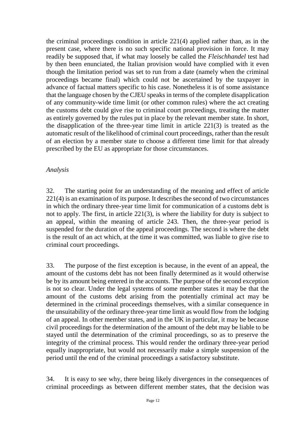the criminal proceedings condition in article 221(4) applied rather than, as in the present case, where there is no such specific national provision in force. It may readily be supposed that, if what may loosely be called the *Fleischhandel* test had by then been enunciated, the Italian provision would have complied with it even though the limitation period was set to run from a date (namely when the criminal proceedings became final) which could not be ascertained by the taxpayer in advance of factual matters specific to his case. Nonetheless it is of some assistance that the language chosen by the CJEU speaks in terms of the complete disapplication of any community-wide time limit (or other common rules) where the act creating the customs debt could give rise to criminal court proceedings, treating the matter as entirely governed by the rules put in place by the relevant member state. In short, the disapplication of the three-year time limit in article 221(3) is treated as the automatic result of the likelihood of criminal court proceedings, rather than the result of an election by a member state to choose a different time limit for that already prescribed by the EU as appropriate for those circumstances.

#### *Analysis*

32. The starting point for an understanding of the meaning and effect of article 221(4) is an examination of its purpose. It describes the second of two circumstances in which the ordinary three-year time limit for communication of a customs debt is not to apply. The first, in article 221(3), is where the liability for duty is subject to an appeal, within the meaning of article 243. Then, the three-year period is suspended for the duration of the appeal proceedings. The second is where the debt is the result of an act which, at the time it was committed, was liable to give rise to criminal court proceedings.

33. The purpose of the first exception is because, in the event of an appeal, the amount of the customs debt has not been finally determined as it would otherwise be by its amount being entered in the accounts. The purpose of the second exception is not so clear. Under the legal systems of some member states it may be that the amount of the customs debt arising from the potentially criminal act may be determined in the criminal proceedings themselves, with a similar consequence in the unsuitability of the ordinary three-year time limit as would flow from the lodging of an appeal. In other member states, and in the UK in particular, it may be because civil proceedings for the determination of the amount of the debt may be liable to be stayed until the determination of the criminal proceedings, so as to preserve the integrity of the criminal process. This would render the ordinary three-year period equally inappropriate, but would not necessarily make a simple suspension of the period until the end of the criminal proceedings a satisfactory substitute.

34. It is easy to see why, there being likely divergences in the consequences of criminal proceedings as between different member states, that the decision was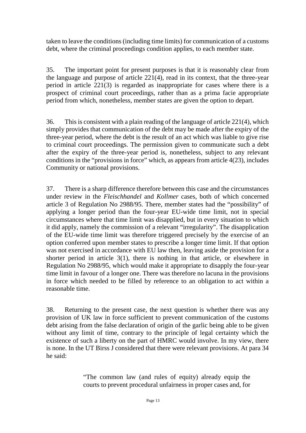taken to leave the conditions (including time limits) for communication of a customs debt, where the criminal proceedings condition applies, to each member state.

35. The important point for present purposes is that it is reasonably clear from the language and purpose of article 221(4), read in its context, that the three-year period in article 221(3) is regarded as inappropriate for cases where there is a prospect of criminal court proceedings, rather than as a prima facie appropriate period from which, nonetheless, member states are given the option to depart.

36. This is consistent with a plain reading of the language of article 221(4), which simply provides that communication of the debt may be made after the expiry of the three-year period, where the debt is the result of an act which was liable to give rise to criminal court proceedings. The permission given to communicate such a debt after the expiry of the three-year period is, nonetheless, subject to any relevant conditions in the "provisions in force" which, as appears from article 4(23), includes Community or national provisions.

37. There is a sharp difference therefore between this case and the circumstances under review in the *Fleischhandel* and *Kollmer* cases, both of which concerned article 3 of Regulation No 2988/95. There, member states had the "possibility" of applying a longer period than the four-year EU-wide time limit, not in special circumstances where that time limit was disapplied, but in every situation to which it did apply, namely the commission of a relevant "irregularity". The disapplication of the EU-wide time limit was therefore triggered precisely by the exercise of an option conferred upon member states to prescribe a longer time limit. If that option was not exercised in accordance with EU law then, leaving aside the provision for a shorter period in article 3(1), there is nothing in that article, or elsewhere in Regulation No 2988/95, which would make it appropriate to disapply the four-year time limit in favour of a longer one. There was therefore no lacuna in the provisions in force which needed to be filled by reference to an obligation to act within a reasonable time.

38. Returning to the present case, the next question is whether there was any provision of UK law in force sufficient to prevent communication of the customs debt arising from the false declaration of origin of the garlic being able to be given without any limit of time, contrary to the principle of legal certainty which the existence of such a liberty on the part of HMRC would involve. In my view, there is none. In the UT Birss J considered that there were relevant provisions. At para 34 he said:

> "The common law (and rules of equity) already equip the courts to prevent procedural unfairness in proper cases and, for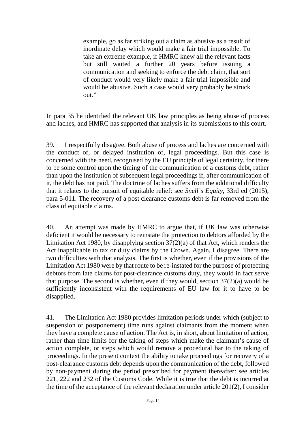example, go as far striking out a claim as abusive as a result of inordinate delay which would make a fair trial impossible. To take an extreme example, if HMRC knew all the relevant facts but still waited a further 20 years before issuing a communication and seeking to enforce the debt claim, that sort of conduct would very likely make a fair trial impossible and would be abusive. Such a case would very probably be struck out."

In para 35 he identified the relevant UK law principles as being abuse of process and laches, and HMRC has supported that analysis in its submissions to this court.

39. I respectfully disagree. Both abuse of process and laches are concerned with the conduct of, or delayed institution of, legal proceedings. But this case is concerned with the need, recognised by the EU principle of legal certainty, for there to be some control upon the timing of the communication of a customs debt, rather than upon the institution of subsequent legal proceedings if, after communication of it, the debt has not paid. The doctrine of laches suffers from the additional difficulty that it relates to the pursuit of equitable relief: see *Snell's Equity*, 33rd ed (2015), para 5-011. The recovery of a post clearance customs debt is far removed from the class of equitable claims.

40. An attempt was made by HMRC to argue that, if UK law was otherwise deficient it would be necessary to reinstate the protection to debtors afforded by the Limitation Act 1980, by disapplying section 37(2)(a) of that Act, which renders the Act inapplicable to tax or duty claims by the Crown. Again, I disagree. There are two difficulties with that analysis. The first is whether, even if the provisions of the Limitation Act 1980 were by that route to be re-instated for the purpose of protecting debtors from late claims for post-clearance customs duty, they would in fact serve that purpose. The second is whether, even if they would, section  $37(2)(a)$  would be sufficiently inconsistent with the requirements of EU law for it to have to be disapplied.

41. The Limitation Act 1980 provides limitation periods under which (subject to suspension or postponement) time runs against claimants from the moment when they have a complete cause of action. The Act is, in short, about limitation of action, rather than time limits for the taking of steps which make the claimant's cause of action complete, or steps which would remove a procedural bar to the taking of proceedings. In the present context the ability to take proceedings for recovery of a post-clearance customs debt depends upon the communication of the debt, followed by non-payment during the period prescribed for payment thereafter: see articles 221, 222 and 232 of the Customs Code. While it is true that the debt is incurred at the time of the acceptance of the relevant declaration under article 201(2), I consider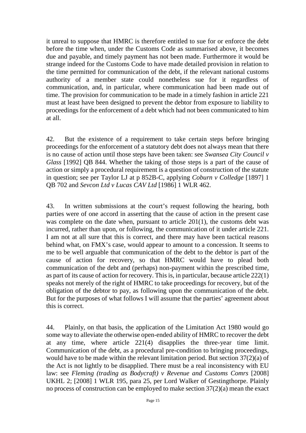it unreal to suppose that HMRC is therefore entitled to sue for or enforce the debt before the time when, under the Customs Code as summarised above, it becomes due and payable, and timely payment has not been made. Furthermore it would be strange indeed for the Customs Code to have made detailed provision in relation to the time permitted for communication of the debt, if the relevant national customs authority of a member state could nonetheless sue for it regardless of communication, and, in particular, where communication had been made out of time. The provision for communication to be made in a timely fashion in article 221 must at least have been designed to prevent the debtor from exposure to liability to proceedings for the enforcement of a debt which had not been communicated to him at all.

42. But the existence of a requirement to take certain steps before bringing proceedings for the enforcement of a statutory debt does not always mean that there is no cause of action until those steps have been taken: see *Swansea City Council v Glass* [1992] QB 844. Whether the taking of those steps is a part of the cause of action or simply a procedural requirement is a question of construction of the statute in question; see per Taylor LJ at p 852B-C, applying *Coburn v Colledge* [1897] 1 QB 702 and *Sevcon Ltd v Lucas CAV Ltd* [1986] 1 WLR 462.

43. In written submissions at the court's request following the hearing, both parties were of one accord in asserting that the cause of action in the present case was complete on the date when, pursuant to article 201(1), the customs debt was incurred, rather than upon, or following, the communication of it under article 221. I am not at all sure that this is correct, and there may have been tactical reasons behind what, on FMX's case, would appear to amount to a concession. It seems to me to be well arguable that communication of the debt to the debtor is part of the cause of action for recovery, so that HMRC would have to plead both communication of the debt and (perhaps) non-payment within the prescribed time, as part of its cause of action for recovery. This is, in particular, because article 222(1) speaks not merely of the right of HMRC to take proceedings for recovery, but of the obligation of the debtor to pay, as following upon the communication of the debt. But for the purposes of what follows I will assume that the parties' agreement about this is correct.

44. Plainly, on that basis, the application of the Limitation Act 1980 would go some way to alleviate the otherwise open-ended ability of HMRC to recover the debt at any time, where article 221(4) disapplies the three-year time limit. Communication of the debt, as a procedural pre-condition to bringing proceedings, would have to be made within the relevant limitation period. But section 37(2)(a) of the Act is not lightly to be disapplied. There must be a real inconsistency with EU law: see *Fleming (trading as Bodycraft) v Revenue and Customs Comrs* [2008] UKHL 2; [2008] 1 WLR 195, para 25, per Lord Walker of Gestingthorpe. Plainly no process of construction can be employed to make section 37(2)(a) mean the exact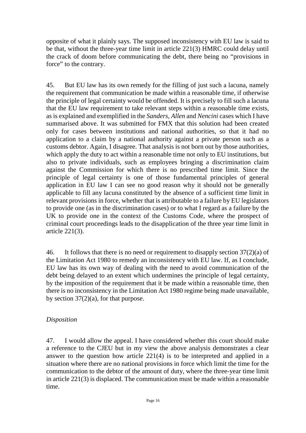opposite of what it plainly says. The supposed inconsistency with EU law is said to be that, without the three-year time limit in article 221(3) HMRC could delay until the crack of doom before communicating the debt, there being no "provisions in force" to the contrary.

45. But EU law has its own remedy for the filling of just such a lacuna, namely the requirement that communication be made within a reasonable time, if otherwise the principle of legal certainty would be offended. It is precisely to fill such a lacuna that the EU law requirement to take relevant steps within a reasonable time exists, as is explained and exemplified in the *Sanders*, *Allen* and *Nencini* cases which I have summarised above. It was submitted for FMX that this solution had been created only for cases between institutions and national authorities, so that it had no application to a claim by a national authority against a private person such as a customs debtor. Again, I disagree. That analysis is not born out by those authorities, which apply the duty to act within a reasonable time not only to EU institutions, but also to private individuals, such as employees bringing a discrimination claim against the Commission for which there is no prescribed time limit. Since the principle of legal certainty is one of those fundamental principles of general application in EU law I can see no good reason why it should not be generally applicable to fill any lacuna constituted by the absence of a sufficient time limit in relevant provisions in force, whether that is attributable to a failure by EU legislators to provide one (as in the discrimination cases) or to what I regard as a failure by the UK to provide one in the context of the Customs Code, where the prospect of criminal court proceedings leads to the disapplication of the three year time limit in article 221(3).

46. It follows that there is no need or requirement to disapply section 37(2)(a) of the Limitation Act 1980 to remedy an inconsistency with EU law. If, as I conclude, EU law has its own way of dealing with the need to avoid communication of the debt being delayed to an extent which undermines the principle of legal certainty, by the imposition of the requirement that it be made within a reasonable time, then there is no inconsistency in the Limitation Act 1980 regime being made unavailable, by section  $37(2)(a)$ , for that purpose.

#### *Disposition*

47. I would allow the appeal. I have considered whether this court should make a reference to the CJEU but in my view the above analysis demonstrates a clear answer to the question how article 221(4) is to be interpreted and applied in a situation where there are no national provisions in force which limit the time for the communication to the debtor of the amount of duty, where the three-year time limit in article 221(3) is displaced. The communication must be made within a reasonable time.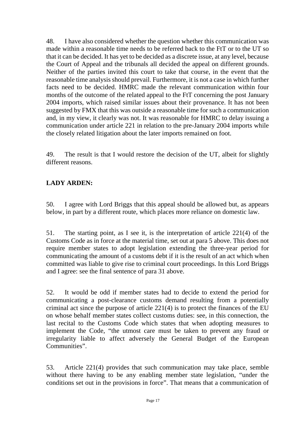48. I have also considered whether the question whether this communication was made within a reasonable time needs to be referred back to the FtT or to the UT so that it can be decided. It has yet to be decided as a discrete issue, at any level, because the Court of Appeal and the tribunals all decided the appeal on different grounds. Neither of the parties invited this court to take that course, in the event that the reasonable time analysis should prevail. Furthermore, it is not a case in which further facts need to be decided. HMRC made the relevant communication within four months of the outcome of the related appeal to the FtT concerning the post January 2004 imports, which raised similar issues about their provenance. It has not been suggested by FMX that this was outside a reasonable time for such a communication and, in my view, it clearly was not. It was reasonable for HMRC to delay issuing a communication under article 221 in relation to the pre-January 2004 imports while the closely related litigation about the later imports remained on foot.

49. The result is that I would restore the decision of the UT, albeit for slightly different reasons.

### **LADY ARDEN:**

50. I agree with Lord Briggs that this appeal should be allowed but, as appears below, in part by a different route, which places more reliance on domestic law.

51. The starting point, as I see it, is the interpretation of article 221(4) of the Customs Code as in force at the material time, set out at para 5 above. This does not require member states to adopt legislation extending the three-year period for communicating the amount of a customs debt if it is the result of an act which when committed was liable to give rise to criminal court proceedings. In this Lord Briggs and I agree: see the final sentence of para 31 above.

52. It would be odd if member states had to decide to extend the period for communicating a post-clearance customs demand resulting from a potentially criminal act since the purpose of article 221(4) is to protect the finances of the EU on whose behalf member states collect customs duties: see, in this connection, the last recital to the Customs Code which states that when adopting measures to implement the Code, "the utmost care must be taken to prevent any fraud or irregularity liable to affect adversely the General Budget of the European Communities".

53. Article 221(4) provides that such communication may take place, semble without there having to be any enabling member state legislation, "under the conditions set out in the provisions in force". That means that a communication of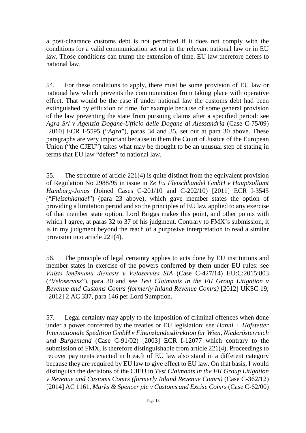a post-clearance customs debt is not permitted if it does not comply with the conditions for a valid communication set out in the relevant national law or in EU law. Those conditions can trump the extension of time. EU law therefore defers to national law.

54. For these conditions to apply, there must be some provision of EU law or national law which prevents the communication from taking place with operative effect. That would be the case if under national law the customs debt had been extinguished by effluxion of time, for example because of some general provision of the law preventing the state from pursuing claims after a specified period: see *Agra Srl v Agenzia Dogane-Ufficio delle Dogane di Alessandria* (Case C-75/09) [2010] ECR I-5595 ("*Agra*"), paras 34 and 35, set out at para 30 above. These paragraphs are very important because in them the Court of Justice of the European Union ("the CJEU") takes what may be thought to be an unusual step of stating in terms that EU law "defers" to national law.

55. The structure of article 221(4) is quite distinct from the equivalent provision of Regulation No 2988/95 in issue in *Ze Fu Fleischhandel GmbH v Hauptzollamt Hamburg-Jonas* (Joined Cases C-201/10 and C-202/10) [2011] ECR I-3545 ("*Fleischhandel*") (para 23 above), which gave member states the option of providing a limitation period and so the principles of EU law applied to any exercise of that member state option. Lord Briggs makes this point, and other points with which I agree, at paras 32 to 37 of his judgment. Contrary to FMX's submission, it is in my judgment beyond the reach of a purposive interpretation to read a similar provision into article 221(4).

56. The principle of legal certainty applies to acts done by EU institutions and member states in exercise of the powers conferred by them under EU rules: see *Valsts ieņēmumu dienests v Veloserviss SIA* (Case C-427/14) EU:C:2015:803 ("*Veloserviss*"), para 30 and see *Test Claimants in the FII Group Litigation v Revenue and Customs Comrs (formerly Inland Revenue Comrs)* [2012] UKSC 19; [2012] 2 AC 337, para 146 per Lord Sumption.

57. Legal certainty may apply to the imposition of criminal offences when done under a power conferred by the treaties or EU legislation: see *Hannl + Hofstetter Internationale Spedition GmbH v Finanzlandesdirektion für Wien, Niederösterreich und Burgenland* (Case C-91/02) [2003] ECR I-12077 which contrary to the submission of FMX, is therefore distinguishable from article 221(4). Proceedings to recover payments exacted in breach of EU law also stand in a different category because they are required by EU law to give effect to EU law. On that basis, I would distinguish the decisions of the CJEU in *Test Claimants in the FII Group Litigation v Revenue and Customs Comrs (formerly Inland Revenue Comrs)* (Case C-362/12) [2014] AC 1161, *Marks & Spencer plc v Customs and Excise Comrs* (Case C-62/00)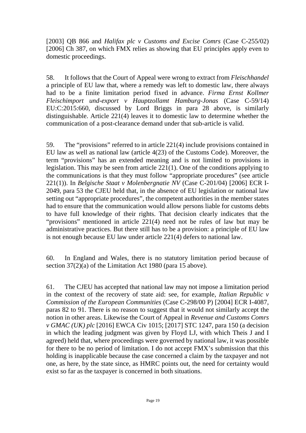[2003] QB 866 and *Halifax plc v Customs and Excise Comrs* (Case C-255/02) [2006] Ch 387, on which FMX relies as showing that EU principles apply even to domestic proceedings.

58. It follows that the Court of Appeal were wrong to extract from *Fleischhandel* a principle of EU law that, where a remedy was left to domestic law, there always had to be a finite limitation period fixed in advance. *Firma Ernst Kollmer Fleischimport und-export v Hauptzollamt Hamburg-Jonas* (Case C-59/14) EU:C:2015:660, discussed by Lord Briggs in para 28 above, is similarly distinguishable. Article 221(4) leaves it to domestic law to determine whether the communication of a post-clearance demand under that sub-article is valid.

59. The "provisions" referred to in article 221(4) include provisions contained in EU law as well as national law (article 4(23) of the Customs Code). Moreover, the term "provisions" has an extended meaning and is not limited to provisions in legislation. This may be seen from article 221(1). One of the conditions applying to the communications is that they must follow "appropriate procedures" (see article 221(1)). In *Belgische Staat v Molenbergnatie NV* (Case C-201/04) [2006] ECR I-2049, para 53 the CJEU held that, in the absence of EU legislation or national law setting out "appropriate procedures", the competent authorities in the member states had to ensure that the communication would allow persons liable for customs debts to have full knowledge of their rights. That decision clearly indicates that the "provisions" mentioned in article 221(4) need not be rules of law but may be administrative practices. But there still has to be a provision: a principle of EU law is not enough because EU law under article 221(4) defers to national law.

60. In England and Wales, there is no statutory limitation period because of section 37(2)(a) of the Limitation Act 1980 (para 15 above).

61. The CJEU has accepted that national law may not impose a limitation period in the context of the recovery of state aid: see, for example, *Italian Republic v Commission of the European Communities* (Case C-298/00 P) [2004] ECR I-4087, paras 82 to 91. There is no reason to suggest that it would not similarly accept the notion in other areas. Likewise the Court of Appeal in *Revenue and Customs Comrs v GMAC (UK) plc* [2016] EWCA Civ 1015; [2017] STC 1247, para 150 (a decision in which the leading judgment was given by Floyd LJ, with which Theis J and I agreed) held that, where proceedings were governed by national law, it was possible for there to be no period of limitation. I do not accept FMX's submission that this holding is inapplicable because the case concerned a claim by the taxpayer and not one, as here, by the state since, as HMRC points out, the need for certainty would exist so far as the taxpayer is concerned in both situations.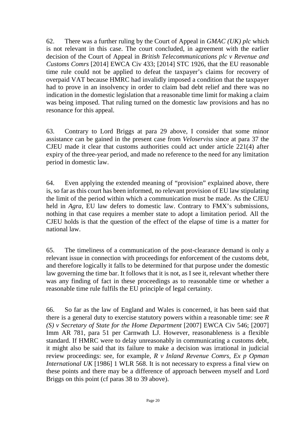62. There was a further ruling by the Court of Appeal in *GMAC (UK) plc* which is not relevant in this case. The court concluded, in agreement with the earlier decision of the Court of Appeal in *British Telecommunications plc v Revenue and Customs Comrs* [2014] EWCA Civ 433; [2014] STC 1926, that the EU reasonable time rule could not be applied to defeat the taxpayer's claims for recovery of overpaid VAT because HMRC had invalidly imposed a condition that the taxpayer had to prove in an insolvency in order to claim bad debt relief and there was no indication in the domestic legislation that a reasonable time limit for making a claim was being imposed. That ruling turned on the domestic law provisions and has no resonance for this appeal.

63. Contrary to Lord Briggs at para 29 above, I consider that some minor assistance can be gained in the present case from *Veloserviss* since at para 37 the CJEU made it clear that customs authorities could act under article 221(4) after expiry of the three-year period, and made no reference to the need for any limitation period in domestic law.

64. Even applying the extended meaning of "provision" explained above, there is, so far as this court has been informed, no relevant provision of EU law stipulating the limit of the period within which a communication must be made. As the CJEU held in *Agra*, EU law defers to domestic law. Contrary to FMX's submissions, nothing in that case requires a member state to adopt a limitation period. All the CJEU holds is that the question of the effect of the elapse of time is a matter for national law.

65. The timeliness of a communication of the post-clearance demand is only a relevant issue in connection with proceedings for enforcement of the customs debt, and therefore logically it falls to be determined for that purpose under the domestic law governing the time bar. It follows that it is not, as I see it, relevant whether there was any finding of fact in these proceedings as to reasonable time or whether a reasonable time rule fulfils the EU principle of legal certainty.

66. So far as the law of England and Wales is concerned, it has been said that there is a general duty to exercise statutory powers within a reasonable time: see *R (S) v Secretary of State for the Home Department* [2007] EWCA Civ 546; [2007] Imm AR 781, para 51 per Carnwath LJ. However, reasonableness is a flexible standard. If HMRC were to delay unreasonably in communicating a customs debt, it might also be said that its failure to make a decision was irrational in judicial review proceedings: see, for example, *R v Inland Revenue Comrs, Ex p Opman International UK* [1986] 1 WLR 568. It is not necessary to express a final view on these points and there may be a difference of approach between myself and Lord Briggs on this point (cf paras 38 to 39 above).